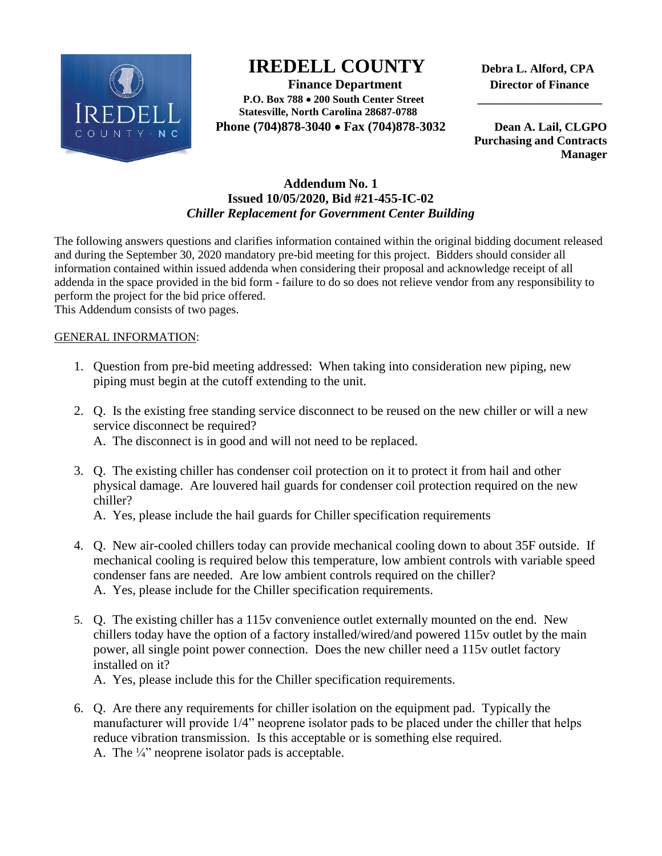

# **IREDELL COUNTY Debra L. Alford, CPA**

 **Finance Department Director of Finance P.O. Box 788 200 South Center Street \_\_\_\_\_\_\_\_\_\_\_\_\_\_\_\_\_\_\_\_\_ Statesville, North Carolina 28687-0788 Phone (704)878-3040 Fax (704)878-3032 Dean A. Lail, CLGPO** 

 **Purchasing and Contracts Manager**

## **Addendum No. 1 Issued 10/05/2020, Bid #21-455-IC-02** *Chiller Replacement for Government Center Building*

The following answers questions and clarifies information contained within the original bidding document released and during the September 30, 2020 mandatory pre-bid meeting for this project. Bidders should consider all information contained within issued addenda when considering their proposal and acknowledge receipt of all addenda in the space provided in the bid form - failure to do so does not relieve vendor from any responsibility to perform the project for the bid price offered.

This Addendum consists of two pages.

#### GENERAL INFORMATION:

- 1. Question from pre-bid meeting addressed: When taking into consideration new piping, new piping must begin at the cutoff extending to the unit.
- 2. Q. Is the existing free standing service disconnect to be reused on the new chiller or will a new service disconnect be required? A. The disconnect is in good and will not need to be replaced.
- 3. Q. The existing chiller has condenser coil protection on it to protect it from hail and other physical damage. Are louvered hail guards for condenser coil protection required on the new chiller?
	- A. Yes, please include the hail guards for Chiller specification requirements
- 4. Q. New air-cooled chillers today can provide mechanical cooling down to about 35F outside. If mechanical cooling is required below this temperature, low ambient controls with variable speed condenser fans are needed. Are low ambient controls required on the chiller? A. Yes, please include for the Chiller specification requirements.
- 5. Q. The existing chiller has a 115v convenience outlet externally mounted on the end. New chillers today have the option of a factory installed/wired/and powered 115v outlet by the main power, all single point power connection. Does the new chiller need a 115v outlet factory installed on it?

A. Yes, please include this for the Chiller specification requirements.

6. Q. Are there any requirements for chiller isolation on the equipment pad. Typically the manufacturer will provide 1/4" neoprene isolator pads to be placed under the chiller that helps reduce vibration transmission. Is this acceptable or is something else required. A. The ¼" neoprene isolator pads is acceptable.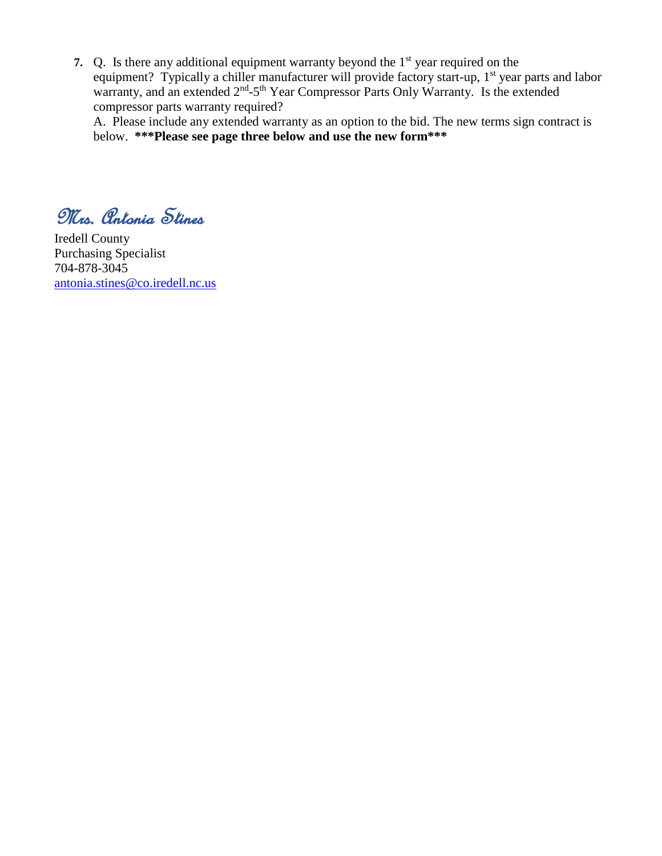**7.** Q. Is there any additional equipment warranty beyond the 1<sup>st</sup> year required on the equipment? Typically a chiller manufacturer will provide factory start-up, 1<sup>st</sup> year parts and labor warranty, and an extended 2<sup>nd</sup>-5<sup>th</sup> Year Compressor Parts Only Warranty. Is the extended compressor parts warranty required?

A. Please include any extended warranty as an option to the bid. The new terms sign contract is below. **\*\*\*Please see page three below and use the new form\*\*\***

Mrs. Antonia Stines

Iredell County Purchasing Specialist 704-878-3045 [antonia.stines@co.iredell.nc.us](mailto:antonia.stines@co.iredell.nc.us)